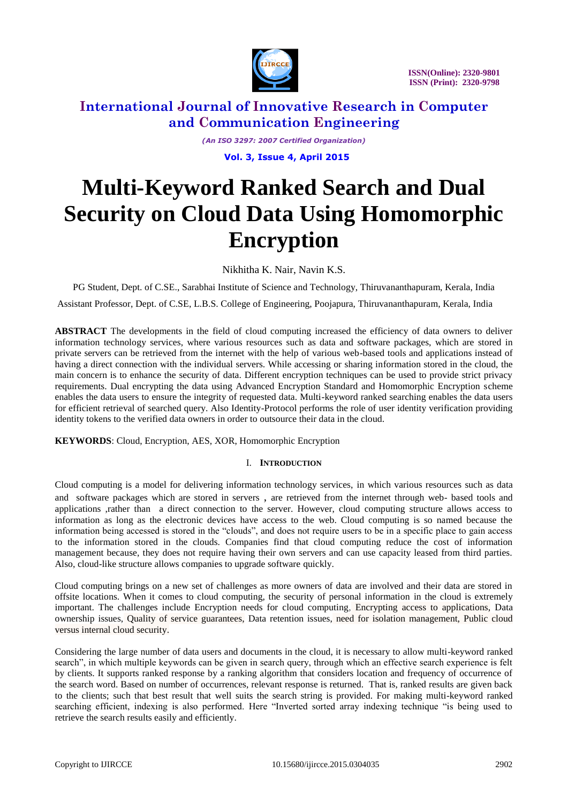

*(An ISO 3297: 2007 Certified Organization)*

 **Vol. 3, Issue 4, April 2015** 

# **Multi-Keyword Ranked Search and Dual Security on Cloud Data Using Homomorphic Encryption**

Nikhitha K. Nair, Navin K.S.

PG Student, Dept. of C.SE., Sarabhai Institute of Science and Technology, Thiruvananthapuram, Kerala, India Assistant Professor, Dept. of C.SE, L.B.S. College of Engineering, Poojapura, Thiruvananthapuram, Kerala, India

**ABSTRACT** The developments in the field of cloud computing increased the efficiency of data owners to deliver information technology services, where various resources such as data and software packages, which are stored in private servers can be retrieved from the internet with the help of various web-based tools and applications instead of having a direct connection with the individual servers. While accessing or sharing information stored in the cloud, the main concern is to enhance the security of data. Different encryption techniques can be used to provide strict privacy requirements. Dual encrypting the data using Advanced Encryption Standard and Homomorphic Encryption scheme enables the data users to ensure the integrity of requested data. Multi-keyword ranked searching enables the data users for efficient retrieval of searched query. Also Identity-Protocol performs the role of user identity verification providing identity tokens to the verified data owners in order to outsource their data in the cloud.

**KEYWORDS**: Cloud, Encryption, AES, XOR, Homomorphic Encryption

#### I. **INTRODUCTION**

Cloud computing is a model for delivering information technology services, in which various resources such as data and software packages which are stored in servers , are retrieved from the internet through web- based tools and applications ,rather than a direct connection to the server. However, cloud computing structure allows access to information as long as the electronic devices have access to the web. Cloud computing is so named because the information being accessed is stored in the "clouds", and does not require users to be in a specific place to gain access to the information stored in the clouds. Companies find that cloud computing reduce the cost of information management because, they does not require having their own servers and can use capacity leased from third parties. Also, cloud-like structure allows companies to upgrade software quickly.

Cloud computing brings on a new set of challenges as more owners of data are involved and their data are stored in offsite locations. When it comes to cloud computing, the security of personal information in the cloud is extremely important. The challenges include Encryption needs for cloud computing, Encrypting access to applications, Data ownership issues, Quality of service guarantees, Data retention issues, need for isolation management, Public cloud versus internal cloud security.

Considering the large number of data users and documents in the cloud, it is necessary to allow multi-keyword ranked search", in which multiple keywords can be given in search query, through which an effective search experience is felt by clients. It supports ranked response by a ranking algorithm that considers location and frequency of occurrence of the search word. Based on number of occurrences, relevant response is returned. That is, ranked results are given back to the clients; such that best result that well suits the search string is provided. For making multi-keyword ranked searching efficient, indexing is also performed. Here "Inverted sorted array indexing technique "is being used to retrieve the search results easily and efficiently.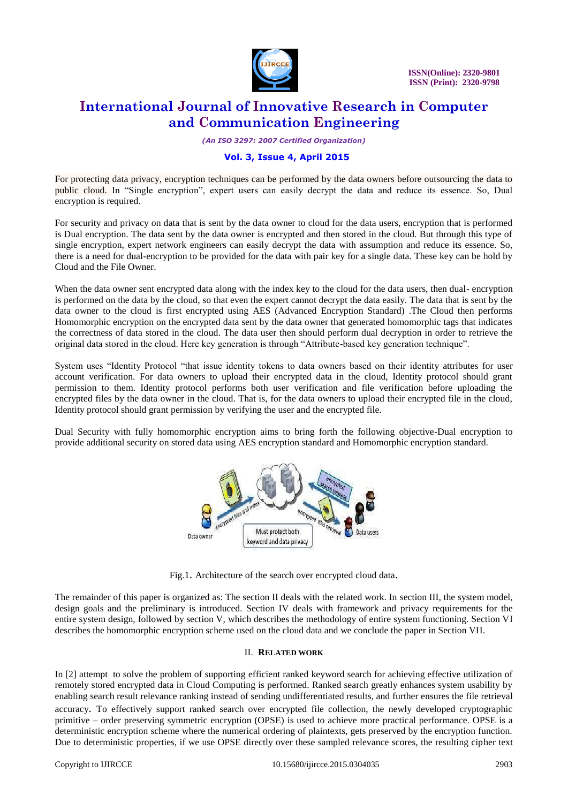

*(An ISO 3297: 2007 Certified Organization)*

#### **Vol. 3, Issue 4, April 2015**

For protecting data privacy, encryption techniques can be performed by the data owners before outsourcing the data to public cloud. In "Single encryption", expert users can easily decrypt the data and reduce its essence. So, Dual encryption is required.

For security and privacy on data that is sent by the data owner to cloud for the data users, encryption that is performed is Dual encryption. The data sent by the data owner is encrypted and then stored in the cloud. But through this type of single encryption, expert network engineers can easily decrypt the data with assumption and reduce its essence. So, there is a need for dual-encryption to be provided for the data with pair key for a single data. These key can be hold by Cloud and the File Owner.

When the data owner sent encrypted data along with the index key to the cloud for the data users, then dual- encryption is performed on the data by the cloud, so that even the expert cannot decrypt the data easily. The data that is sent by the data owner to the cloud is first encrypted using AES (Advanced Encryption Standard) .The Cloud then performs Homomorphic encryption on the encrypted data sent by the data owner that generated homomorphic tags that indicates the correctness of data stored in the cloud. The data user then should perform dual decryption in order to retrieve the original data stored in the cloud. Here key generation is through "Attribute-based key generation technique".

System uses "Identity Protocol "that issue identity tokens to data owners based on their identity attributes for user account verification. For data owners to upload their encrypted data in the cloud, Identity protocol should grant permission to them. Identity protocol performs both user verification and file verification before uploading the encrypted files by the data owner in the cloud. That is, for the data owners to upload their encrypted file in the cloud, Identity protocol should grant permission by verifying the user and the encrypted file.

Dual Security with fully homomorphic encryption aims to bring forth the following objective-Dual encryption to provide additional security on stored data using AES encryption standard and Homomorphic encryption standard.



Fig.1. Architecture of the search over encrypted cloud data.

The remainder of this paper is organized as: The section II deals with the related work. In section III, the system model, design goals and the preliminary is introduced. Section IV deals with framework and privacy requirements for the entire system design, followed by section V, which describes the methodology of entire system functioning. Section VI describes the homomorphic encryption scheme used on the cloud data and we conclude the paper in Section VII.

#### II. **RELATED WORK**

In [2] attempt to solve the problem of supporting efficient ranked keyword search for achieving effective utilization of remotely stored encrypted data in Cloud Computing is performed. Ranked search greatly enhances system usability by enabling search result relevance ranking instead of sending undifferentiated results, and further ensures the file retrieval accuracy. To effectively support ranked search over encrypted file collection, the newly developed cryptographic primitive – order preserving symmetric encryption (OPSE) is used to achieve more practical performance. OPSE is a deterministic encryption scheme where the numerical ordering of plaintexts, gets preserved by the encryption function. Due to deterministic properties, if we use OPSE directly over these sampled relevance scores, the resulting cipher text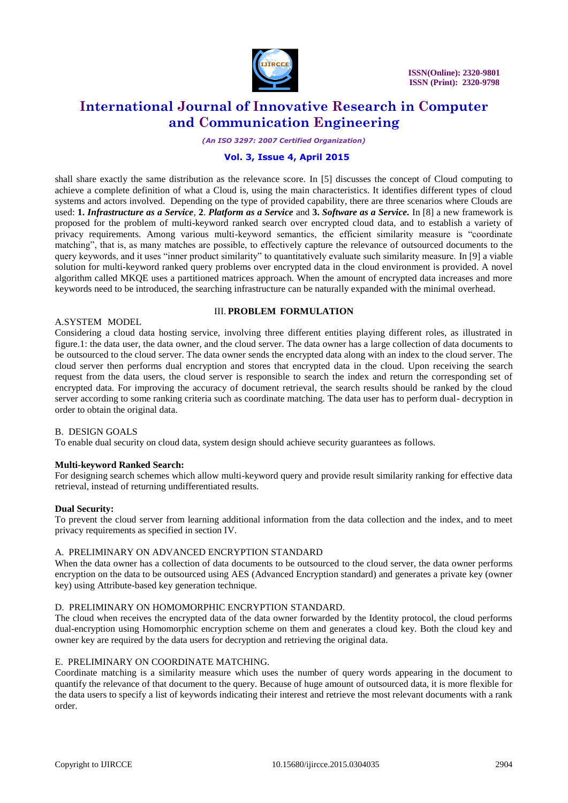

*(An ISO 3297: 2007 Certified Organization)*

#### **Vol. 3, Issue 4, April 2015**

shall share exactly the same distribution as the relevance score. In [5] discusses the concept of Cloud computing to achieve a complete definition of what a Cloud is, using the main characteristics. It identifies different types of cloud systems and actors involved. Depending on the type of provided capability, there are three scenarios where Clouds are used: **1.** *Infrastructure as a Service,* **2**. *Platform as a Service* and **3.** *Software as a Service.* In [8] a new framework is proposed for the problem of multi-keyword ranked search over encrypted cloud data, and to establish a variety of privacy requirements. Among various multi-keyword semantics, the efficient similarity measure is "coordinate matching", that is, as many matches are possible, to effectively capture the relevance of outsourced documents to the query keywords, and it uses "inner product similarity" to quantitatively evaluate such similarity measure. In [9] a viable solution for multi-keyword ranked query problems over encrypted data in the cloud environment is provided. A novel algorithm called MKQE uses a partitioned matrices approach. When the amount of encrypted data increases and more keywords need to be introduced, the searching infrastructure can be naturally expanded with the minimal overhead.

#### A.SYSTEM MODEL

# III. **PROBLEM FORMULATION**

Considering a cloud data hosting service, involving three different entities playing different roles, as illustrated in figure.1: the data user, the data owner, and the cloud server. The data owner has a large collection of data documents to be outsourced to the cloud server. The data owner sends the encrypted data along with an index to the cloud server. The cloud server then performs dual encryption and stores that encrypted data in the cloud. Upon receiving the search request from the data users, the cloud server is responsible to search the index and return the corresponding set of encrypted data. For improving the accuracy of document retrieval, the search results should be ranked by the cloud server according to some ranking criteria such as coordinate matching. The data user has to perform dual- decryption in order to obtain the original data.

#### B. DESIGN GOALS

To enable dual security on cloud data, system design should achieve security guarantees as follows.

#### **Multi-keyword Ranked Search:**

For designing search schemes which allow multi-keyword query and provide result similarity ranking for effective data retrieval, instead of returning undifferentiated results.

#### **Dual Security:**

To prevent the cloud server from learning additional information from the data collection and the index, and to meet privacy requirements as specified in section IV.

#### A. PRELIMINARY ON ADVANCED ENCRYPTION STANDARD

When the data owner has a collection of data documents to be outsourced to the cloud server, the data owner performs encryption on the data to be outsourced using AES (Advanced Encryption standard) and generates a private key (owner key) using Attribute-based key generation technique.

#### D. PRELIMINARY ON HOMOMORPHIC ENCRYPTION STANDARD.

The cloud when receives the encrypted data of the data owner forwarded by the Identity protocol, the cloud performs dual-encryption using Homomorphic encryption scheme on them and generates a cloud key. Both the cloud key and owner key are required by the data users for decryption and retrieving the original data.

#### E. PRELIMINARY ON COORDINATE MATCHING.

Coordinate matching is a similarity measure which uses the number of query words appearing in the document to quantify the relevance of that document to the query. Because of huge amount of outsourced data, it is more flexible for the data users to specify a list of keywords indicating their interest and retrieve the most relevant documents with a rank order.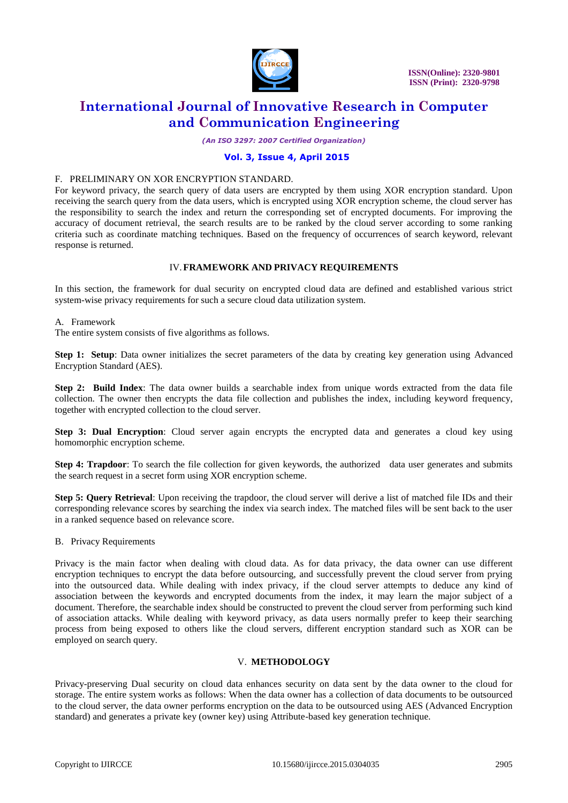

*(An ISO 3297: 2007 Certified Organization)*

#### **Vol. 3, Issue 4, April 2015**

#### F. PRELIMINARY ON XOR ENCRYPTION STANDARD.

For keyword privacy, the search query of data users are encrypted by them using XOR encryption standard. Upon receiving the search query from the data users, which is encrypted using XOR encryption scheme, the cloud server has the responsibility to search the index and return the corresponding set of encrypted documents. For improving the accuracy of document retrieval, the search results are to be ranked by the cloud server according to some ranking criteria such as coordinate matching techniques. Based on the frequency of occurrences of search keyword, relevant response is returned.

#### IV.**FRAMEWORK AND PRIVACY REQUIREMENTS**

In this section, the framework for dual security on encrypted cloud data are defined and established various strict system-wise privacy requirements for such a secure cloud data utilization system.

#### A. Framework

The entire system consists of five algorithms as follows.

**Step 1: Setup**: Data owner initializes the secret parameters of the data by creating key generation using Advanced Encryption Standard (AES).

**Step 2: Build Index**: The data owner builds a searchable index from unique words extracted from the data file collection. The owner then encrypts the data file collection and publishes the index, including keyword frequency, together with encrypted collection to the cloud server.

**Step 3: Dual Encryption**: Cloud server again encrypts the encrypted data and generates a cloud key using homomorphic encryption scheme.

**Step 4: Trapdoor**: To search the file collection for given keywords, the authorized data user generates and submits the search request in a secret form using XOR encryption scheme.

**Step 5: Query Retrieval**: Upon receiving the trapdoor, the cloud server will derive a list of matched file IDs and their corresponding relevance scores by searching the index via search index. The matched files will be sent back to the user in a ranked sequence based on relevance score.

B. Privacy Requirements

Privacy is the main factor when dealing with cloud data. As for data privacy, the data owner can use different encryption techniques to encrypt the data before outsourcing, and successfully prevent the cloud server from prying into the outsourced data. While dealing with index privacy, if the cloud server attempts to deduce any kind of association between the keywords and encrypted documents from the index, it may learn the major subject of a document. Therefore, the searchable index should be constructed to prevent the cloud server from performing such kind of association attacks. While dealing with keyword privacy, as data users normally prefer to keep their searching process from being exposed to others like the cloud servers, different encryption standard such as XOR can be employed on search query.

#### V. **METHODOLOGY**

Privacy-preserving Dual security on cloud data enhances security on data sent by the data owner to the cloud for storage. The entire system works as follows: When the data owner has a collection of data documents to be outsourced to the cloud server, the data owner performs encryption on the data to be outsourced using AES (Advanced Encryption standard) and generates a private key (owner key) using Attribute-based key generation technique.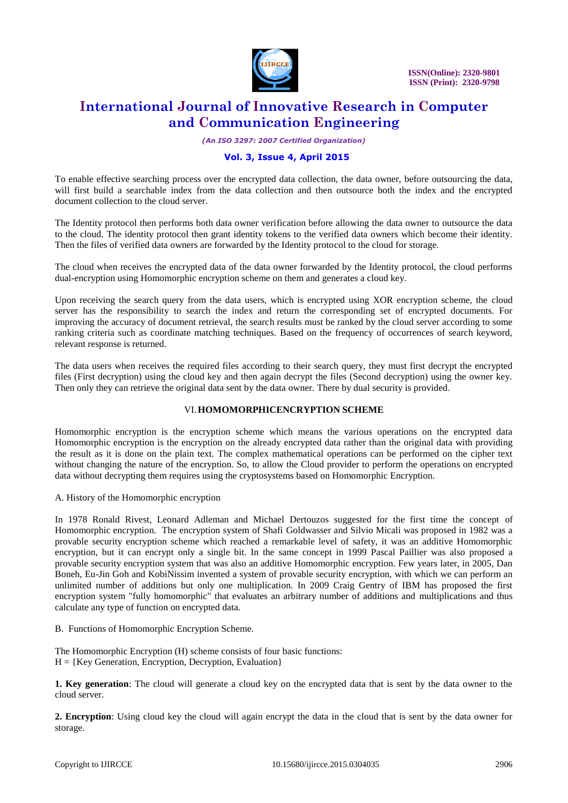

*(An ISO 3297: 2007 Certified Organization)*

#### **Vol. 3, Issue 4, April 2015**

To enable effective searching process over the encrypted data collection, the data owner, before outsourcing the data, will first build a searchable index from the data collection and then outsource both the index and the encrypted document collection to the cloud server.

The Identity protocol then performs both data owner verification before allowing the data owner to outsource the data to the cloud. The identity protocol then grant identity tokens to the verified data owners which become their identity. Then the files of verified data owners are forwarded by the Identity protocol to the cloud for storage.

The cloud when receives the encrypted data of the data owner forwarded by the Identity protocol, the cloud performs dual-encryption using Homomorphic encryption scheme on them and generates a cloud key.

Upon receiving the search query from the data users, which is encrypted using XOR encryption scheme, the cloud server has the responsibility to search the index and return the corresponding set of encrypted documents. For improving the accuracy of document retrieval, the search results must be ranked by the cloud server according to some ranking criteria such as coordinate matching techniques. Based on the frequency of occurrences of search keyword, relevant response is returned.

The data users when receives the required files according to their search query, they must first decrypt the encrypted files (First decryption) using the cloud key and then again decrypt the files (Second decryption) using the owner key. Then only they can retrieve the original data sent by the data owner. There by dual security is provided.

#### VI.**HOMOMORPHICENCRYPTION SCHEME**

Homomorphic encryption is the encryption scheme which means the various operations on the encrypted data Homomorphic encryption is the encryption on the already encrypted data rather than the original data with providing the result as it is done on the plain text. The complex mathematical operations can be performed on the cipher text without changing the nature of the encryption. So, to allow the Cloud provider to perform the operations on encrypted data without decrypting them requires using the cryptosystems based on Homomorphic Encryption.

A. History of the Homomorphic encryption

In 1978 Ronald Rivest, Leonard Adleman and Michael Dertouzos suggested for the first time the concept of Homomorphic encryption. The encryption system of Shafi Goldwasser and Silvio Micali was proposed in 1982 was a provable security encryption scheme which reached a remarkable level of safety, it was an additive Homomorphic encryption, but it can encrypt only a single bit. In the same concept in 1999 Pascal Paillier was also proposed a provable security encryption system that was also an additive Homomorphic encryption. Few years later, in 2005, Dan Boneh, Eu-Jin Goh and KobiNissim invented a system of provable security encryption, with which we can perform an unlimited number of additions but only one multiplication. In 2009 Craig Gentry of IBM has proposed the first encryption system "fully homomorphic" that evaluates an arbitrary number of additions and multiplications and thus calculate any type of function on encrypted data.

B. Functions of Homomorphic Encryption Scheme.

The Homomorphic Encryption (H) scheme consists of four basic functions:  $H = \{Key Generation, Encryption, Decryption, Evaluation\}$ 

**1. Key generation**: The cloud will generate a cloud key on the encrypted data that is sent by the data owner to the cloud server.

**2. Encryption**: Using cloud key the cloud will again encrypt the data in the cloud that is sent by the data owner for storage.